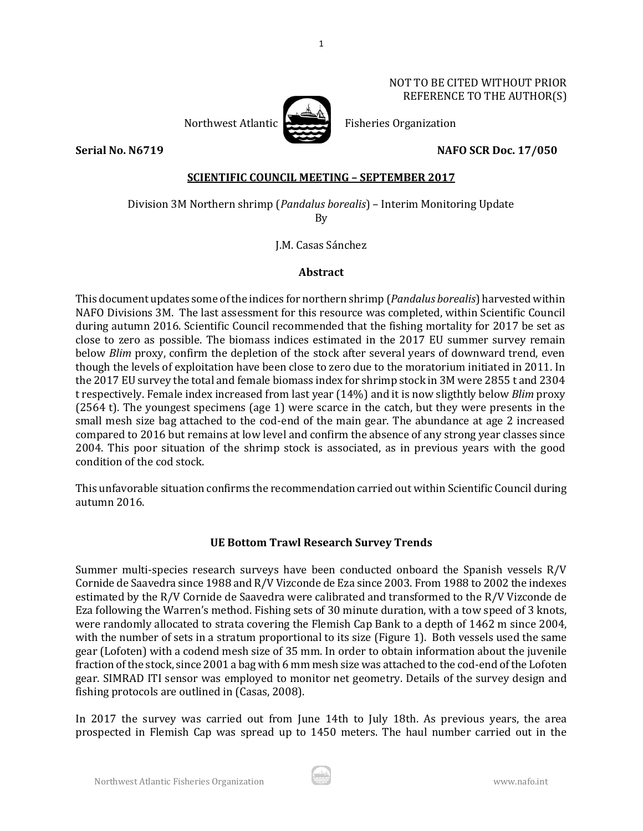#### NOT TO BE CITED WITHOUT PRIOR REFERENCE TO THE AUTHOR(S)



Northwest Atlantic  $\sum$  Fisheries Organization

**Serial No. N6719 NAFO SCR Doc. 17/050**

# **SCIENTIFIC COUNCIL MEETING – SEPTEMBER 2017**

1

Division 3M Northern shrimp (*Pandalus borealis*) – Interim Monitoring Update

By

J.M. Casas Sánchez

# **Abstract**

This document updates some of the indices for northern shrimp (*Pandalus borealis*) harvested within NAFO Divisions 3M. The last assessment for this resource was completed, within Scientific Council during autumn 2016. Scientific Council recommended that the fishing mortality for 2017 be set as close to zero as possible. The biomass indices estimated in the 2017 EU summer survey remain below *Blim* proxy, confirm the depletion of the stock after several years of downward trend, even though the levels of exploitation have been close to zero due to the moratorium initiated in 2011. In the 2017 EU survey the total and female biomass index for shrimp stock in 3M were 2855 t and 2304 t respectively. Female index increased from last year (14%) and it is now sligthtly below *Blim* proxy (2564 t). The youngest specimens (age 1) were scarce in the catch, but they were presents in the small mesh size bag attached to the cod-end of the main gear. The abundance at age 2 increased compared to 2016 but remains at low level and confirm the absence of any strong year classes since 2004. This poor situation of the shrimp stock is associated, as in previous years with the good condition of the cod stock.

This unfavorable situation confirms the recommendation carried out within Scientific Council during autumn 2016.

# **UE Bottom Trawl Research Survey Trends**

Summer multi-species research surveys have been conducted onboard the Spanish vessels R/V Cornide de Saavedra since 1988 and R/V Vizconde de Eza since 2003. From 1988 to 2002 the indexes estimated by the R/V Cornide de Saavedra were calibrated and transformed to the R/V Vizconde de Eza following the Warren's method. Fishing sets of 30 minute duration, with a tow speed of 3 knots, were randomly allocated to strata covering the Flemish Cap Bank to a depth of 1462 m since 2004, with the number of sets in a stratum proportional to its size (Figure 1). Both vessels used the same gear (Lofoten) with a codend mesh size of 35 mm. In order to obtain information about the juvenile fraction of the stock, since 2001 a bag with 6 mm mesh size was attached to the cod-end of the Lofoten gear. SIMRAD ITI sensor was employed to monitor net geometry. Details of the survey design and fishing protocols are outlined in (Casas, 2008).

In 2017 the survey was carried out from June 14th to July 18th. As previous years, the area prospected in Flemish Cap was spread up to 1450 meters. The haul number carried out in the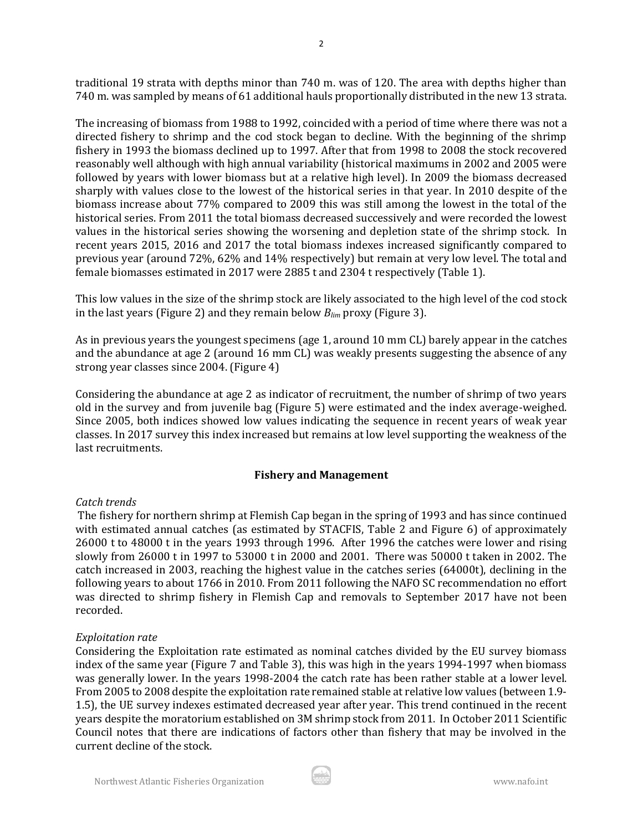traditional 19 strata with depths minor than 740 m. was of 120. The area with depths higher than 740 m. was sampled by means of 61 additional hauls proportionally distributed in the new 13 strata.

2

The increasing of biomass from 1988 to 1992, coincided with a period of time where there was not a directed fishery to shrimp and the cod stock began to decline. With the beginning of the shrimp fishery in 1993 the biomass declined up to 1997. After that from 1998 to 2008 the stock recovered reasonably well although with high annual variability (historical maximums in 2002 and 2005 were followed by years with lower biomass but at a relative high level). In 2009 the biomass decreased sharply with values close to the lowest of the historical series in that year. In 2010 despite of the biomass increase about 77% compared to 2009 this was still among the lowest in the total of the historical series. From 2011 the total biomass decreased successively and were recorded the lowest values in the historical series showing the worsening and depletion state of the shrimp stock. In recent years 2015, 2016 and 2017 the total biomass indexes increased significantly compared to previous year (around 72%, 62% and 14% respectively) but remain at very low level. The total and female biomasses estimated in 2017 were 2885 t and 2304 t respectively (Table 1).

This low values in the size of the shrimp stock are likely associated to the high level of the cod stock in the last years (Figure 2) and they remain below *Blim* proxy (Figure 3).

As in previous years the youngest specimens (age 1, around 10 mm CL) barely appear in the catches and the abundance at age 2 (around 16 mm CL) was weakly presents suggesting the absence of any strong year classes since 2004. (Figure 4)

Considering the abundance at age 2 as indicator of recruitment, the number of shrimp of two years old in the survey and from juvenile bag (Figure 5) were estimated and the index average-weighed. Since 2005, both indices showed low values indicating the sequence in recent years of weak year classes. In 2017 survey this index increased but remains at low level supporting the weakness of the last recruitments.

## **Fishery and Management**

## *Catch trends*

The fishery for northern shrimp at Flemish Cap began in the spring of 1993 and has since continued with estimated annual catches (as estimated by STACFIS, Table 2 and Figure 6) of approximately 26000 t to 48000 t in the years 1993 through 1996. After 1996 the catches were lower and rising slowly from 26000 t in 1997 to 53000 t in 2000 and 2001. There was 50000 t taken in 2002. The catch increased in 2003, reaching the highest value in the catches series (64000t), declining in the following years to about 1766 in 2010. From 2011 following the NAFO SC recommendation no effort was directed to shrimp fishery in Flemish Cap and removals to September 2017 have not been recorded.

## *Exploitation rate*

Considering the Exploitation rate estimated as nominal catches divided by the EU survey biomass index of the same year (Figure 7 and Table 3), this was high in the years 1994-1997 when biomass was generally lower. In the years 1998-2004 the catch rate has been rather stable at a lower level. From 2005 to 2008 despite the exploitation rate remained stable at relative low values (between 1.9- 1.5), the UE survey indexes estimated decreased year after year. This trend continued in the recent years despite the moratorium established on 3M shrimp stock from 2011. In October 2011 Scientific Council notes that there are indications of factors other than fishery that may be involved in the current decline of the stock.

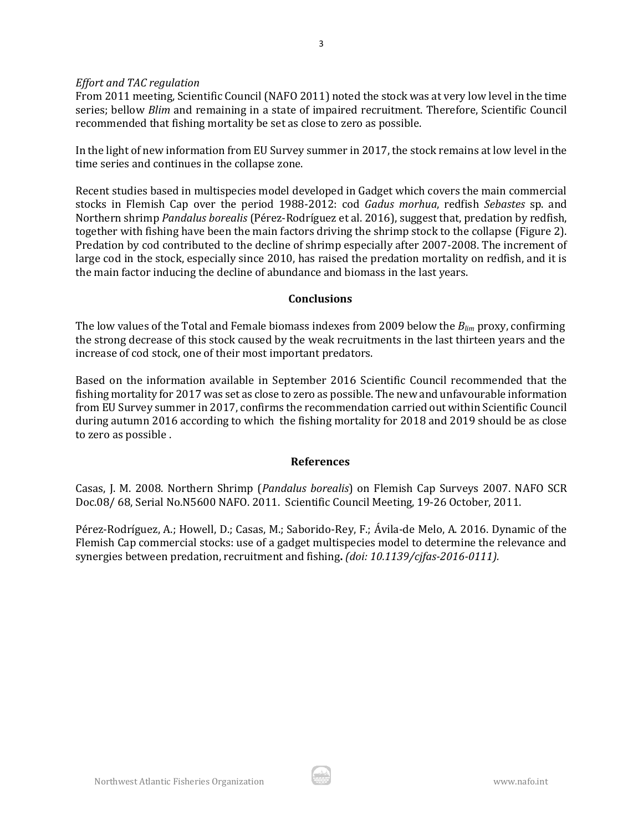#### *Effort and TAC regulation*

From 2011 meeting, Scientific Council (NAFO 2011) noted the stock was at very low level in the time series; bellow *Blim* and remaining in a state of impaired recruitment. Therefore, Scientific Council recommended that fishing mortality be set as close to zero as possible.

In the light of new information from EU Survey summer in 2017, the stock remains at low level in the time series and continues in the collapse zone.

Recent studies based in multispecies model developed in Gadget which covers the main commercial stocks in Flemish Cap over the period 1988-2012: cod *Gadus morhua*, redfish *Sebastes* sp. and Northern shrimp *Pandalus borealis* (Pérez-Rodríguez et al. 2016), suggest that, predation by redfish, together with fishing have been the main factors driving the shrimp stock to the collapse (Figure 2). Predation by cod contributed to the decline of shrimp especially after 2007-2008. The increment of large cod in the stock, especially since 2010, has raised the predation mortality on redfish, and it is the main factor inducing the decline of abundance and biomass in the last years.

#### **Conclusions**

The low values of the Total and Female biomass indexes from 2009 below the *Blim* proxy, confirming the strong decrease of this stock caused by the weak recruitments in the last thirteen years and the increase of cod stock, one of their most important predators.

Based on the information available in September 2016 Scientific Council recommended that the fishing mortality for 2017 was set as close to zero as possible. The new and unfavourable information from EU Survey summer in 2017, confirms the recommendation carried out within Scientific Council during autumn 2016 according to which the fishing mortality for 2018 and 2019 should be as close to zero as possible .

## **References**

Casas, J. M. 2008. Northern Shrimp (*Pandalus borealis*) on Flemish Cap Surveys 2007. NAFO SCR Doc.08/ 68, Serial No.N5600 NAFO. 2011. Scientific Council Meeting, 19-26 October, 2011.

Pérez-Rodríguez, A.; Howell, D.; Casas, M.; Saborido-Rey, F.; Ávila-de Melo, A. 2016. Dynamic of the Flemish Cap commercial stocks: use of a gadget multispecies model to determine the relevance and synergies between predation, recruitment and fishing**.** *(doi: 10.1139/cjfas-2016-0111).*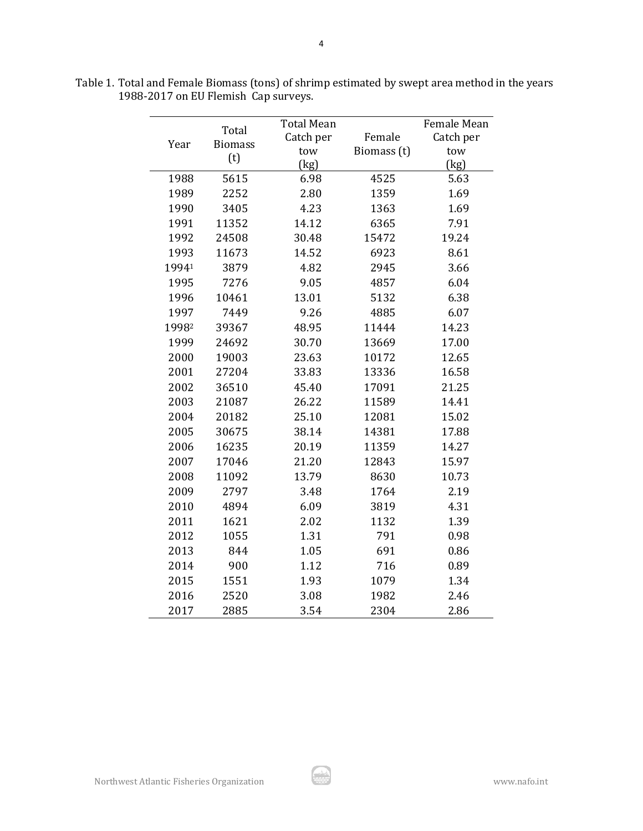| Year  | Total          | <b>Total Mean</b><br>Catch per | Female      | <b>Female Mean</b><br>Catch per |  |  |  |
|-------|----------------|--------------------------------|-------------|---------------------------------|--|--|--|
|       | <b>Biomass</b> | tow                            | Biomass (t) | tow                             |  |  |  |
|       | (t)            | (kg)                           |             | (kg)                            |  |  |  |
| 1988  | 5615           | 6.98                           | 4525        | 5.63                            |  |  |  |
| 1989  | 2252           | 2.80                           | 1359        | 1.69                            |  |  |  |
| 1990  | 3405           | 4.23                           | 1363        | 1.69                            |  |  |  |
| 1991  | 11352          | 14.12                          | 6365        | 7.91                            |  |  |  |
| 1992  | 24508          | 30.48                          | 15472       | 19.24                           |  |  |  |
| 1993  | 11673          | 14.52                          | 6923        | 8.61                            |  |  |  |
| 19941 | 3879           | 4.82                           |             | 3.66                            |  |  |  |
|       |                |                                | 2945        |                                 |  |  |  |
| 1995  | 7276           | 9.05                           | 4857        | 6.04                            |  |  |  |
| 1996  | 10461          | 13.01                          | 5132        | 6.38                            |  |  |  |
| 1997  | 7449           | 9.26                           | 4885        | 6.07                            |  |  |  |
| 19982 | 39367          | 48.95                          | 11444       | 14.23                           |  |  |  |
| 1999  | 24692          | 30.70                          | 13669       | 17.00                           |  |  |  |
| 2000  | 19003          | 23.63                          | 10172       | 12.65                           |  |  |  |
| 2001  | 27204          | 33.83                          | 13336       | 16.58                           |  |  |  |
| 2002  | 36510          | 45.40                          | 17091       | 21.25                           |  |  |  |
| 2003  | 21087          | 26.22                          | 11589       | 14.41                           |  |  |  |
| 2004  | 20182          | 25.10                          | 12081       | 15.02                           |  |  |  |
| 2005  | 30675          | 38.14                          | 14381       | 17.88                           |  |  |  |
| 2006  | 16235          | 20.19                          | 11359       | 14.27                           |  |  |  |
| 2007  | 17046          | 21.20                          | 12843       | 15.97                           |  |  |  |
| 2008  | 11092          | 13.79                          | 8630        | 10.73                           |  |  |  |
| 2009  | 2797           | 3.48                           | 1764        | 2.19                            |  |  |  |
| 2010  | 4894           | 6.09                           | 3819        | 4.31                            |  |  |  |
| 2011  | 1621           | 2.02                           | 1132        | 1.39                            |  |  |  |
| 2012  | 1055           | 1.31                           | 791         | 0.98                            |  |  |  |
| 2013  | 844            | 1.05                           | 691         | 0.86                            |  |  |  |
| 2014  | 900            | 1.12                           | 716         | 0.89                            |  |  |  |
| 2015  | 1551           | 1.93                           | 1079        | 1.34                            |  |  |  |
| 2016  | 2520           | 3.08                           | 1982        | 2.46                            |  |  |  |
| 2017  | 2885           | 3.54                           | 2304        | 2.86                            |  |  |  |

Table 1. Total and Female Biomass (tons) of shrimp estimated by swept area method in the years 1988-2017 on EU Flemish Cap surveys.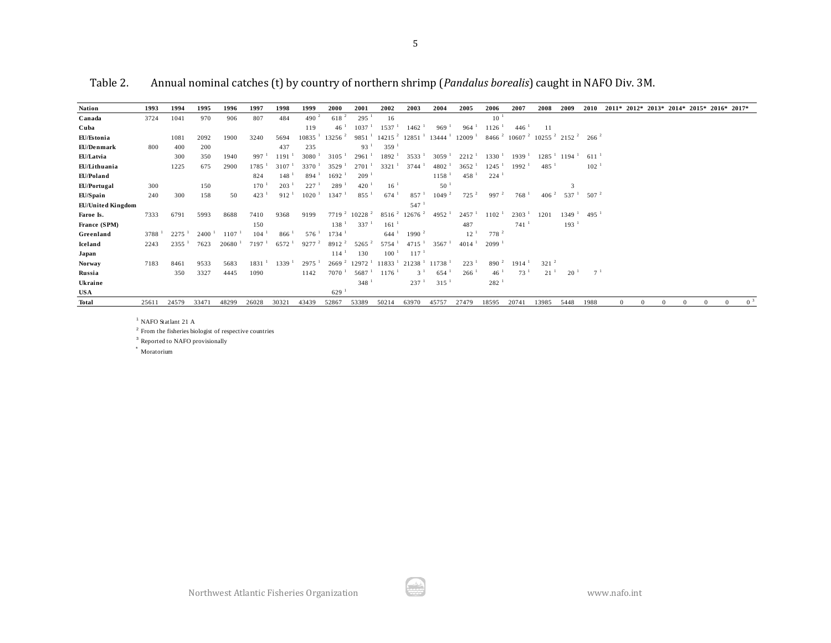| Table 2.                 |      |       |             | Annual nominal catches (t) by country of northern shrimp ( <i>Pandalus borealis</i> ) caught in NAFO Div. 3M. |                   |                  |                     |                     |                      |                      |                               |                      |                     |                    |                                                                 |                     |                     |                |          |                      |          |                                           |                |
|--------------------------|------|-------|-------------|---------------------------------------------------------------------------------------------------------------|-------------------|------------------|---------------------|---------------------|----------------------|----------------------|-------------------------------|----------------------|---------------------|--------------------|-----------------------------------------------------------------|---------------------|---------------------|----------------|----------|----------------------|----------|-------------------------------------------|----------------|
| <b>Nation</b>            | 1993 | 1994  | 1995        | 1996                                                                                                          | 1997              | 1998             | 1999                | 2000                | 2001                 | 2002                 | 2003                          | 2004                 | 2005                | 2006               | 2007                                                            | 2008                | 2009                | 2010           |          |                      |          | 2011* 2012* 2013* 2014* 2015* 2016* 2017* |                |
| Canada                   | 3724 | 1041  | 970         | 906                                                                                                           | 807               | 484              | 490 $^2$            | $618^{2}$           | 295                  | 16                   |                               |                      |                     | 10 <sup>1</sup>    |                                                                 |                     |                     |                |          |                      |          |                                           |                |
| Cuba                     |      |       |             |                                                                                                               |                   |                  | 119                 | 46                  | 1037                 | 1537                 | $1462$ <sup>1</sup>           | 969 <sup>1</sup>     | 964                 | 1126               | 446 <sup>1</sup>                                                | 11                  |                     |                |          |                      |          |                                           |                |
| EU/Estonia               |      | 1081  | 2092        | 1900                                                                                                          | 3240              | 5694             | 10835               | 13256 <sup>2</sup>  | 9851                 | $14215$ <sup>2</sup> | 12851 <sup>1</sup>            | $13444$ <sup>1</sup> | $12009-1$           |                    | $84662$ 10607 <sup>2</sup> 10255 <sup>2</sup> 2152 <sup>2</sup> |                     |                     | $266^{2}$      |          |                      |          |                                           |                |
| EU/Denmark               | 800  | 400   | 200         |                                                                                                               |                   | 437              | 235                 |                     | 93                   | 359                  |                               |                      |                     |                    |                                                                 |                     |                     |                |          |                      |          |                                           |                |
| EU/Latvia                |      | 300   | 350         | 1940                                                                                                          | 997 <sup>1</sup>  | 1191             | $3080^{-1}$         | $3105$ <sup>1</sup> | 2961                 | 1892 <sup>1</sup>    | 3533 <sup>1</sup>             | $3059$ <sup>1</sup>  | $2212^{-1}$         | $1330-1$           | 1939 <sup>1</sup>                                               | $1285$ <sup>1</sup> | $1194$ <sup>1</sup> | $611^{-1}$     |          |                      |          |                                           |                |
| EU/Lithuania             |      | 1225  | 675         | 2900                                                                                                          | 1785              | 3107             | 3370                | 3529                | 2701                 | 3321                 | 3744                          | $4802-1$             | 3652                | 1245               | $1992$ <sup>1</sup>                                             | $485$ <sup>1</sup>  |                     | $102^{-1}$     |          |                      |          |                                           |                |
| EU/Poland                |      |       |             |                                                                                                               | 824               | $148-1$          | 894                 | 1692                | 209                  |                      |                               | $1158-1$             | $458-1$             | $224$ <sup>1</sup> |                                                                 |                     |                     |                |          |                      |          |                                           |                |
| EU/Portugal              | 300  |       | 150         |                                                                                                               | 170               | 203 <sup>1</sup> | 227 <sup>1</sup>    | 289                 | 420                  | $16^{-1}$            |                               | 50 <sup>1</sup>      |                     |                    |                                                                 |                     | 3                   |                |          |                      |          |                                           |                |
| EU/Spain                 | 240  | 300   | 158         | 50                                                                                                            | 423               | 912 <sup>1</sup> | 1020                | 1347                | 855                  | $674^{-1}$           | 857 <sup>1</sup>              | 1049 <sup>2</sup>    | $725^2$             | 997 <sup>2</sup>   | 768 <sup>1</sup>                                                | $406^{2}$           | $537^{\frac{1}{2}}$ | $507^{2}$      |          |                      |          |                                           |                |
| <b>EU/United Kingdom</b> |      |       |             |                                                                                                               |                   |                  |                     |                     |                      |                      | $547^{-1}$                    |                      |                     |                    |                                                                 |                     |                     |                |          |                      |          |                                           |                |
| Faroe Is.                | 7333 | 6791  | 5993        | 8688                                                                                                          | 7410              | 9368             | 9199                | $7719^2$            | $10228$ <sup>2</sup> | $8516^{2}$           | $12676$ <sup>2</sup>          | 4952 <sup>1</sup>    | 2457                | 1102               | $2303-1$                                                        | 1201                | $1349-1$            | $495-1$        |          |                      |          |                                           |                |
| France (SPM)             |      |       |             |                                                                                                               | 150               |                  |                     | 138                 | 337                  | 161                  |                               |                      | 487                 |                    | $741^{-1}$                                                      |                     | 193 <sup>1</sup>    |                |          |                      |          |                                           |                |
| Greenland                | 3788 | 2275  | $2400^{-1}$ | 1107                                                                                                          | 104               | 866 <sup>1</sup> | 576                 | $1734$ <sup>1</sup> |                      | 644 <sup>1</sup>     | 1990 <sup>2</sup>             |                      | $12^{-1}$           | 778 <sup>2</sup>   |                                                                 |                     |                     |                |          |                      |          |                                           |                |
| Iceland                  | 2243 | 2355  | 7623        | 20680                                                                                                         | 7197 <sup>1</sup> | 6572             | $9277$ $^{2}$       | $8912^2$            | $5265^2$             | 5754                 | $4715$ <sup>1</sup>           | 3567 <sup>1</sup>    | $4014^{-1}$         | 2099               |                                                                 |                     |                     |                |          |                      |          |                                           |                |
| Japan                    |      |       |             |                                                                                                               |                   |                  |                     | 114                 | 130                  | $100^{-1}$           | 117                           |                      |                     |                    |                                                                 |                     |                     |                |          |                      |          |                                           |                |
| <b>Norway</b>            | 7183 | 8461  | 9533        | 5683                                                                                                          | 1831 <sup>1</sup> | $1339-1$         | $2975$ <sup>1</sup> | 2669 <sup>2</sup>   | 12972 <sup>1</sup>   |                      | $11833-1$ 21238 <sup>-1</sup> | $11738$ <sup>1</sup> | $223-1$             | $890^2$            | $1914$ <sup>1</sup>                                             | 321 <sup>2</sup>    |                     |                |          |                      |          |                                           |                |
| Russia                   |      | 350   | 3327        | 4445                                                                                                          | 1090              |                  | 1142                | 7070                | 5687                 | 1176                 | $3^1$                         | 654                  | $266^{\frac{1}{2}}$ | 46 <sup>1</sup>    | $73^1$                                                          | $21^{-1}$           | 20                  | 7 <sup>1</sup> |          |                      |          |                                           |                |
| Ukraine                  |      |       |             |                                                                                                               |                   |                  |                     |                     | 348                  |                      | 237 <sup>1</sup>              | 315                  |                     | 282 <sup>1</sup>   |                                                                 |                     |                     |                |          |                      |          |                                           |                |
| <b>USA</b>               |      |       |             |                                                                                                               |                   |                  |                     | 629                 |                      |                      |                               |                      |                     |                    |                                                                 |                     |                     |                |          |                      |          |                                           |                |
| <b>Total</b>             | 2561 | 24579 | 33471       | 48299                                                                                                         | 26028             | 30321            | 43439               | 52867               | 53389                | 50214                | 63970                         | 45757                | 27479               | 18595              | 20741                                                           | 13985               | 5448                | 1988           | $\Omega$ | $\Omega$<br>$\Omega$ | $\Omega$ | $\Omega$                                  | 0 <sup>3</sup> |

Table 2. Annual nominal catches (t) by country of northern shrimp (*Pandalus borealis*) caught in NAFO Div. 3M.

 $^{\rm 1}$  NAFO Statlant 21 A

<sup>2</sup> From the fisheries biologist of respective countries

<sup>3</sup> Reported to NAFO provisionally

\* Moratorium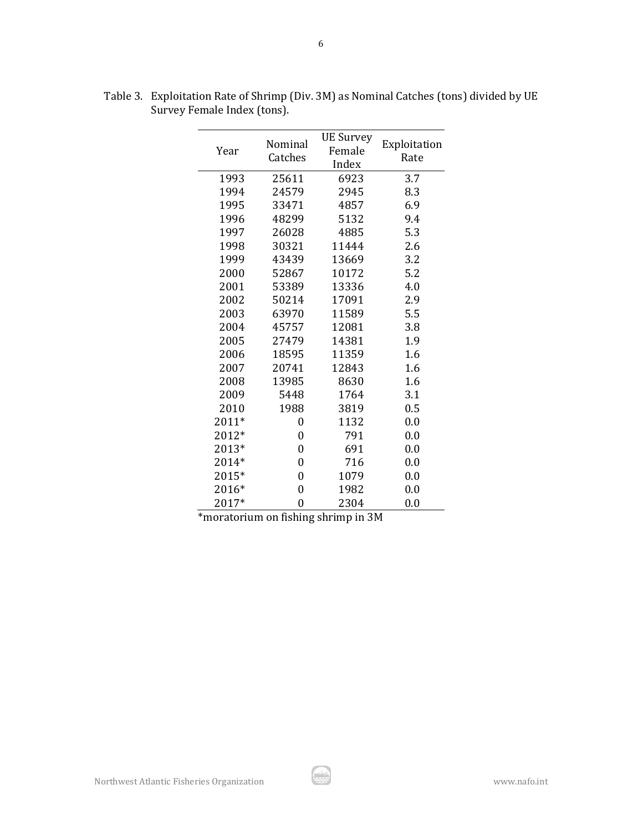| Year  | Nominal<br>Catches | <b>UE Survey</b><br>Female<br>Index | Exploitation<br>Rate |  |  |  |
|-------|--------------------|-------------------------------------|----------------------|--|--|--|
| 1993  | 25611              | 6923                                | 3.7                  |  |  |  |
| 1994  | 24579              | 2945                                | 8.3                  |  |  |  |
| 1995  | 33471              | 4857                                | 6.9                  |  |  |  |
| 1996  | 48299              | 5132                                | 9.4                  |  |  |  |
| 1997  | 26028              | 4885                                | 5.3                  |  |  |  |
| 1998  | 30321              | 11444                               | 2.6                  |  |  |  |
| 1999  | 43439              | 13669                               | 3.2                  |  |  |  |
| 2000  | 52867              | 10172                               | 5.2                  |  |  |  |
| 2001  | 53389              | 13336                               | 4.0                  |  |  |  |
| 2002  | 50214              | 17091                               | 2.9                  |  |  |  |
| 2003  | 63970              | 11589                               | 5.5                  |  |  |  |
| 2004  | 45757              | 12081                               | 3.8                  |  |  |  |
| 2005  | 27479              | 14381                               | 1.9                  |  |  |  |
| 2006  | 18595              | 11359                               | 1.6                  |  |  |  |
| 2007  | 20741              | 12843                               | 1.6                  |  |  |  |
| 2008  | 13985              | 8630                                | 1.6                  |  |  |  |
| 2009  | 5448               | 1764                                | 3.1                  |  |  |  |
| 2010  | 1988               | 3819                                | 0.5                  |  |  |  |
| 2011* | 0                  | 1132                                | 0.0                  |  |  |  |
| 2012* | 0                  | 791                                 | 0.0                  |  |  |  |
| 2013* | $\overline{0}$     | 691                                 | 0.0                  |  |  |  |
| 2014* | 0                  | 716                                 | 0.0                  |  |  |  |
| 2015* | 0                  | 1079                                | 0.0                  |  |  |  |
| 2016* | 0                  | 1982                                | 0.0                  |  |  |  |
| 2017* | 0                  | 2304                                | 0.0                  |  |  |  |

Table 3. Exploitation Rate of Shrimp (Div. 3M) as Nominal Catches (tons) divided by UE Survey Female Index (tons).

\*moratorium on fishing shrimp in 3M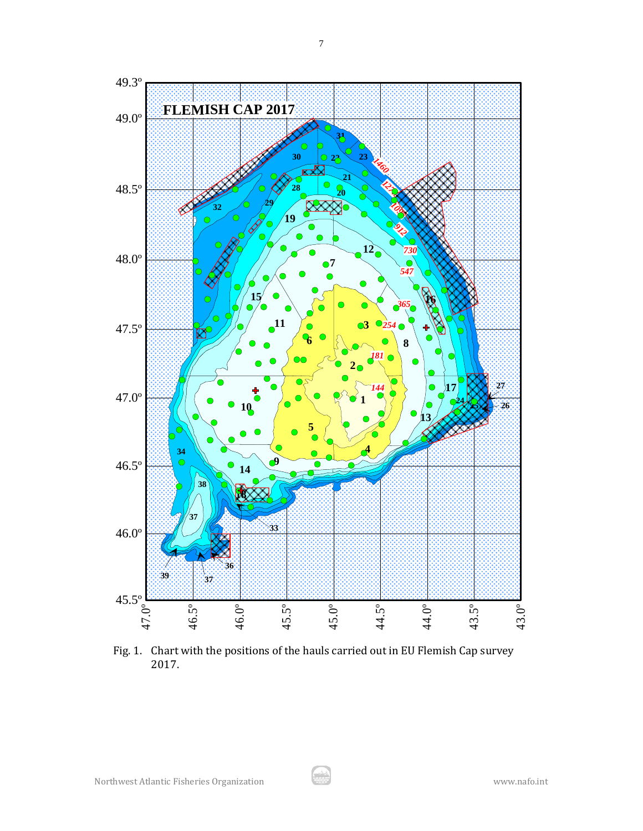

Fig. 1. Chart with the positions of the hauls carried out in EU Flemish Cap survey 2017.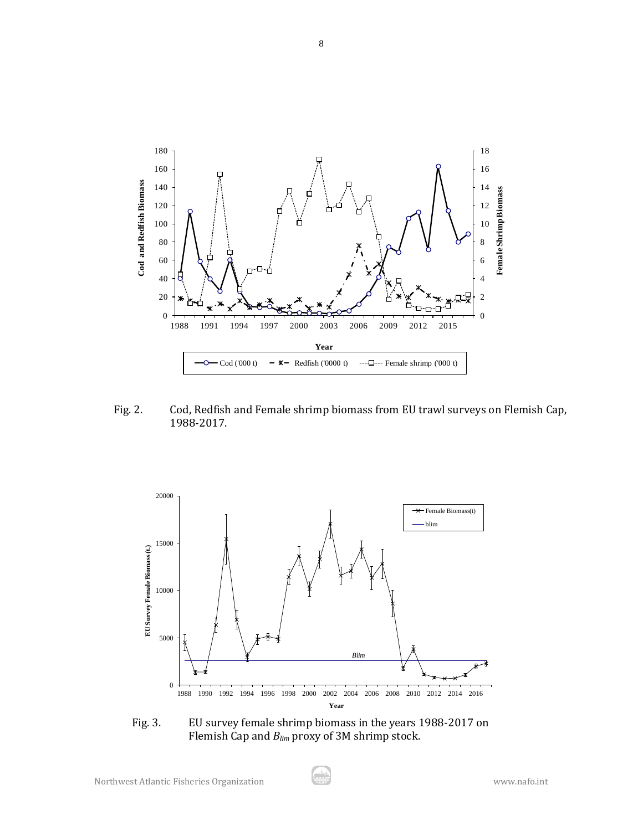

Fig. 2. Cod, Redfish and Female shrimp biomass from EU trawl surveys on Flemish Cap, 1988-2017.



Fig. 3. EU survey female shrimp biomass in the years 1988-2017 on Flemish Cap and *Blim* proxy of 3M shrimp stock.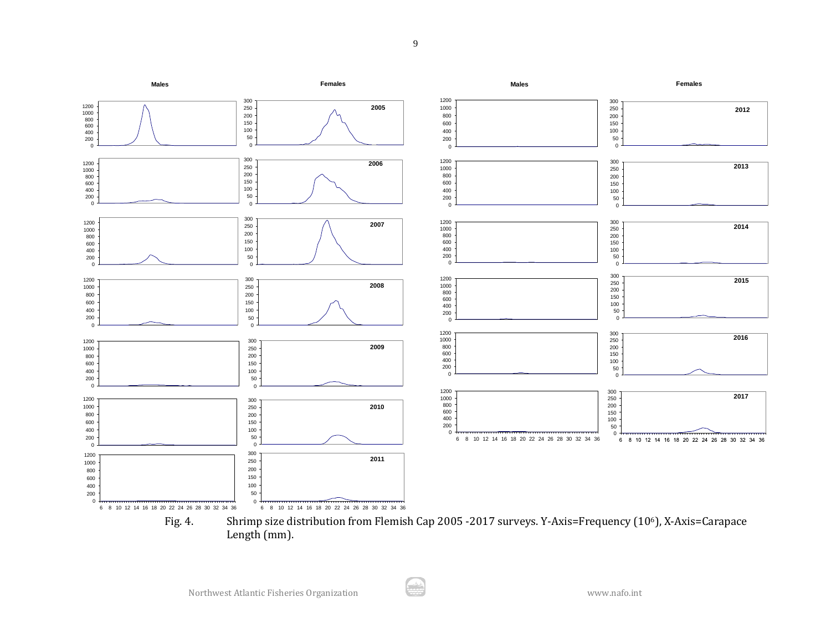

Fig. 4. Shrimp size distribution from Flemish Cap 2005 -2017 surveys. Y-Axis=Frequency (106), X-Axis=Carapace Length (mm).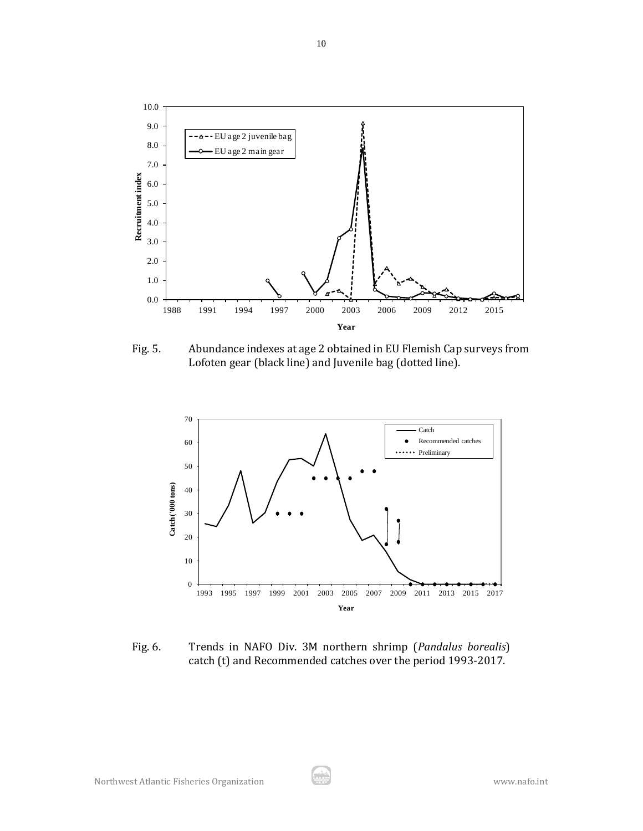

Fig. 5. Abundance indexes at age 2 obtained in EU Flemish Cap surveys from Lofoten gear (black line) and Juvenile bag (dotted line).



Fig. 6. Trends in NAFO Div. 3M northern shrimp (*Pandalus borealis*) catch (t) and Recommended catches over the period 1993-2017.